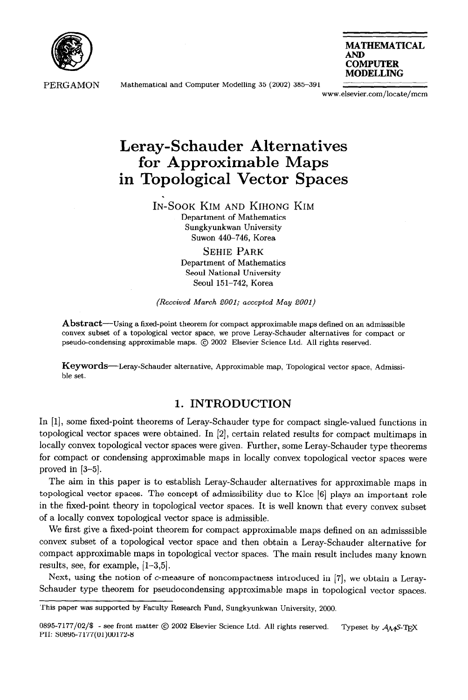

PERGAMON Mathematical and Computer Modelling 35 (2002) 385-391

.



www.elsevier.com/locate/mcm

# **Leray-Schauder Alternatives for Approximable Maps in Topological Vector Spaces**

IN-SOOK KIM AND KIHONG KIM Department of Mathematics Sungkyunkwan University Suwon 440-746, Korea

> SEHIE PARK Department of Mathematics Seoul National University Seoul **151-742,** Korea

*(Received March 2001; accepted May 2001)* 

Abstract--Using a fixed-point theorem for compact approximable maps defined on an admisssible convex subset of a topological vector space, we prove Leray-Schauder alternatives for compact or pseudo-condensing approximable maps. @ 2002 Elsevier Science Ltd. All rights reserved.

Keywords-Leray-Schauder alternative, Approximable map, Topological vector space, Admissible set.

## **1. INTRODUCTION**

In [l], some fixed-point theorems of Leray-Schauder type for compact single-valued functions in topological vector spaces were obtained. In [2], certain related results for compact multimaps in locally convex topological vector spaces were given. Further, some Leray-Schauder type theorems for compact or condensing approximable maps in locally convex topological vector spaces were proved in  $[3-5]$ .

The aim in this paper is to establish Leray-Schauder alternatives for approximable maps in topological vector spaces. The concept of admissibility due to Klee [6] plays an important role in the fixed-point theory in topological vector spaces. It is well known that every convex subset of a locally convex topological vector space is admissible.

We first give a fixed-point theorem for compact approximable maps defined on an admisssible convex subset of a topological vector space and then obtain a Leray-Schauder alternative for compact approximable maps in topological vector spaces. The main result includes many known results, see, for example, [l-3,5].

Next, using the notion of c-measure of noncompactness introduced in [7], we obtain a Leray-Schauder type theorem for pseudocondensing approximable maps in topological vector spaces.

This paper was supported by Faculty Research Fund, Sungkyunkwan University, 2000.

<sup>0895-7177/02/\$ -</sup> see front matter  $\odot$  2002 Elsevier Science Ltd. All rights reserved. Typeset by  $A_{\mathcal{M}}$ S-TEX PII: SO895-7177(01)00172-8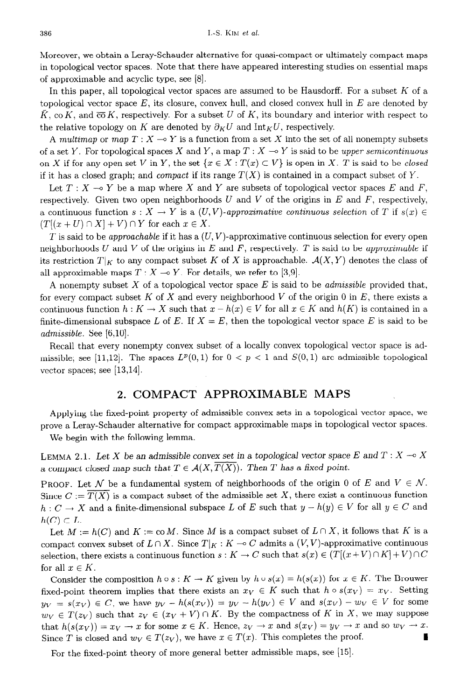Moreover, we obtain a Leray-Schauder alternative for quasi-compact or ultimately compact maps in topological vector spaces. Note that there have appeared interesting studies on essential maps of approximable and acyclic type, see [8].

In this paper, all topological vector spaces are assumed to be Hausdorff. For a subset  $K$  of a topological vector space *E,* its closure, convex hull, and closed convex hull in *E* are denoted by  $\bar{K}$ , co *K*, and  $\bar{c}\bar{o}K$ , respectively. For a subset U of K, its boundary and interior with respect to the relative topology on *K* are denoted by  $\partial_K U$  and Int<sub>K</sub>U, respectively.

A multimap or map  $T : X \longrightarrow Y$  is a function from a set X into the set of all nonempty subsets of a set Y. For topological spaces X and Y, a map  $T : X \to Y$  is said to be upper semicontinuous on X if for any open set V in Y, the set  $\{x \in X : T(x) \subset V\}$  is open in X. T is said to be closed if it has a closed graph; and *compact* if its range  $T(X)$  is contained in a compact subset of Y.

Let  $T : X \rightarrow Y$  be a map where X and Y are subsets of topological vector spaces E and F, respectively. Given two open neighborhoods U and *V* of the origins in *E* and *F,* respectively, a continuous function  $s: X \to Y$  is a  $(U, V)$ -approximative continuous selection of *T* if  $s(x) \in$  $(T[(x + U) \cap X] + V) \cap Y$  for each  $x \in X$ .

*T* is said to be *approachable* if it has a  $(U, V)$ -approximative continuous selection for every open neighborhoods  $U$  and  $V$  of the origins in  $E$  and  $F$ , respectively.  $T$  is said to be approximable if its restriction  $T|_K$  to any compact subset K of X is approachable.  $\mathcal{A}(X, Y)$  denotes the class of all approximable maps  $T : X \rightarrow Y$ . For details, we refer to [3,9].

A nonempty subset X of a topological vector space *E* is said to be admissible provided that, for every compact subset  $K$  of  $X$  and every neighborhood  $V$  of the origin 0 in  $E$ , there exists a continuous function  $h: K \to X$  such that  $x - h(x) \in V$  for all  $x \in K$  and  $h(K)$  is contained in a finite-dimensional subspace L of E. If  $X = E$ , then the topological vector space E is said to be *admissible. See [6,10].* 

Recall that every nonempty convex subset of a locally convex topological vector space is admissible; see [11,12]. The spaces  $L^p(0,1)$  for  $0 < p < 1$  and  $S(0,1)$  are admissible topological vector spaces; see [13,14].

## **2. COMPACT APPROXIMABLE MAPS**

Applying the fixed-point property of admissible convex sets in a topological vector space, we prove a Leray-Schauder alternative for compact approximable maps in topological vector spaces.

We begin with the following lemma.

LEMMA 2.1. Let X be an admissible convex set in a topological vector space E and  $T : X \multimap X$ a compact closed map such that  $T \in \mathcal{A}(X, T(X))$ . Then *T* has a fixed point.

PROOF. Let N be a fundamental system of neighborhoods of the origin 0 of E and  $V \in \mathcal{N}$ . Since  $C := \overline{T(X)}$  is a compact subset of the admissible set X, there exist a continuous function  $h: C \to X$  and a finite-dimensional subspace L of E such that  $y - h(y) \in V$  for all  $y \in C$  and  $h(C) \subset L$ .

Let  $M := h(C)$  and  $K := \text{co } M$ . Since M is a compact subset of  $L \cap X$ , it follows that K is a compact convex subset of  $L \cap X$ . Since  $T|_K : K \multimap C$  admits a  $(V, V)$ -approximative continuous selection, there exists a continuous function  $s: K \to C$  such that  $s(x) \in (T[(x+V) \cap K] + V) \cap C$ for all  $x \in K$ .

Consider the composition  $h \circ s : K \to K$  given by  $h \circ s(x) = h(s(x))$  for  $x \in K$ . The Brouwer fixed-point theorem implies that there exists an  $x_V \in K$  such that  $h \circ s(x_V) = x_V$ . Setting  $y_V = s(x_V) \in C$ , we have  $y_V - h(s(x_V)) = y_V - h(y_V) \in V$  and  $s(x_V) - w_V \in V$  for some  $w_V \in T(z_V)$  such that  $z_V \in (x_V + V) \cap K$ . By the compactness of K in X, we may suppose that  $h(s(x_V)) = x_V \rightarrow x$  for some  $x \in K$ . Hence,  $z_V \rightarrow x$  and  $s(x_V) = y_V \rightarrow x$  and so  $w_V \rightarrow x$ . Since *T* is closed and  $w_V \in T(z_V)$ , we have  $x \in T(x)$ . This completes the proof.

For the fixed-point theory of more general better admissible maps, see [15].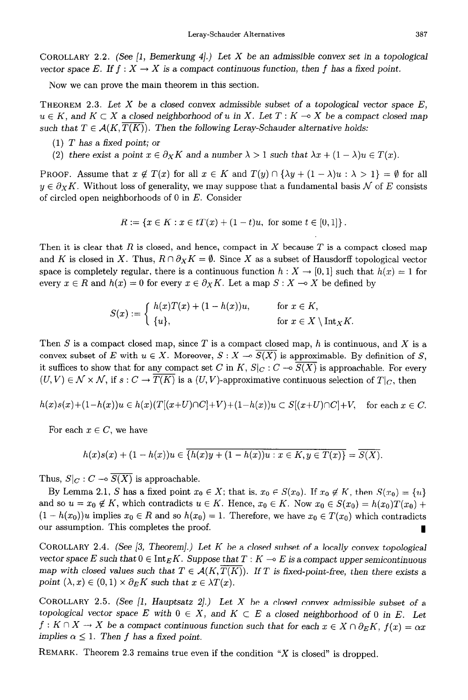**COROLLARY 2.2.** (See [l, Bemerkung 41.) *Let X be an* admissible convex set in a topological vector space *E*. If  $f : X \to X$  is a compact continuous function, then f has a fixed point.

Now we can prove the main theorem in this section.

**THEOREM 2.3.** *Let X* be *a closed convex* admissible subset of a topological vector space *E,*   $u \in K$ , and  $K \subset X$  a closed neighborhood of u in X. Let  $T : K \to X$  be a compact closed map such that  $T \in \mathcal{A}(K, \overline{T(K)})$ . Then the following Leray-Schauder alternative holds:

- (1) *T has* a fixed point; or
- (2) there exist a point  $x \in \partial_X K$  and a number  $\lambda > 1$  such that  $\lambda x + (1 \lambda)u \in T(x)$ .

**PROOF.** Assume that  $x \notin T(x)$  for all  $x \in K$  and  $T(y) \cap {\lambda y + (1 - \lambda)u : \lambda > 1} = \emptyset$  for all  $y \in \partial_X K$ . Without loss of generality, we may suppose that a fundamental basis N of E consists of circled open neighborhoods of 0 in *E.* Consider

$$
R := \{ x \in K : x \in tT(x) + (1-t)u, \text{ for some } t \in [0,1] \}.
$$

Then it is clear that *R* is closed, and hence, compact in X because *T* is a compact closed map and *K* is closed in X. Thus,  $R \cap \partial_X K = \emptyset$ . Since X as a subset of Hausdorff topological vector space is completely regular, there is a continuous function  $h : X \to [0,1]$  such that  $h(x) = 1$  for every  $x \in R$  and  $h(x) = 0$  for every  $x \in \partial_X K$ . Let a map  $S: X \to X$  be defined by

$$
S(x) := \begin{cases} h(x)T(x) + (1 - h(x))u, & \text{for } x \in K, \\ \{u\}, & \text{for } x \in X \setminus \text{Int}_X K. \end{cases}
$$

Then S is a compact closed map, since *T* is a compact closed map, *h* is continuous, and X is a convex subset of *E* with  $u \in X$ . Moreover,  $S: X \to \overline{S(X)}$  is approximable. By definition of *S*, it suffices to show that for any compact set C in K,  $S_C : C \to \overline{S(X)}$  is approachable. For every  $(U, V) \in \mathcal{N} \times \mathcal{N}$ , if  $s : C \to \overline{T(K)}$  is a  $(U, V)$ -approximative continuous selection of  $T|_C$ , then

$$
h(x)s(x)+(1-h(x))u \in h(x)(T[(x+U)\cap C]+V)+(1-h(x))u \subset S[(x+U)\cap C]+V, \text{ for each } x \in C.
$$

For each  $x \in C$ , we have

$$
h(x)s(x) + (1 - h(x))u \in \overline{\{h(x)y + (1 - h(x))u : x \in K, y \in T(x)\}} = \overline{S(X)}.
$$

Thus,  $S|_C : C \longrightarrow \overline{S(X)}$  is approachable.

By Lemma 2.1, S has a fixed point  $x_0 \in X$ ; that is,  $x_0 \in S(x_0)$ . If  $x_0 \notin K$ , then  $S(x_0) = \{u\}$ and so  $u = x_0 \notin K$ , which contradicts  $u \in K$ . Hence,  $x_0 \in K$ . Now  $x_0 \in S(x_0) = h(x_0)T(x_0) +$  $(1 - h(x_0))u$  implies  $x_0 \in R$  and so  $h(x_0) = 1$ . Therefore, we have  $x_0 \in T(x_0)$  which contradicts our assumption. This completes the proof.

**COROLLARY 2.4.** (See [3, Theorem].) Let *K be a* closed subset of *a* locally convex topological vector space *E* such that  $0 \in \text{Int}_E K$ . Suppose that  $T : K \to E$  is a compact upper semicontinuous map with closed values such that  $T \in \mathcal{A}(K, T(K))$ . If T is fixed-point-free, then there exists a point  $(\lambda, x) \in (0, 1) \times \partial_E K$  such that  $x \in \lambda T(x)$ .

COROLLARY 2.5. (See [1, Hauptsatz 2].) Let X be a closed convex admissible subset of a topological vector space *E* with  $0 \in X$ , and  $K \subset E$  a closed neighborhood of 0 in *E*. Let  $f: K \cap X \to X$  be a compact continuous function such that for each  $x \in X \cap \partial_E K$ ,  $f(x) = \alpha x$ *implies*  $\alpha \leq 1$ . *Then f has a fixed point.* 

**REMARK.** Theorem 2.3 remains true even if the condition "X is closed" is dropped.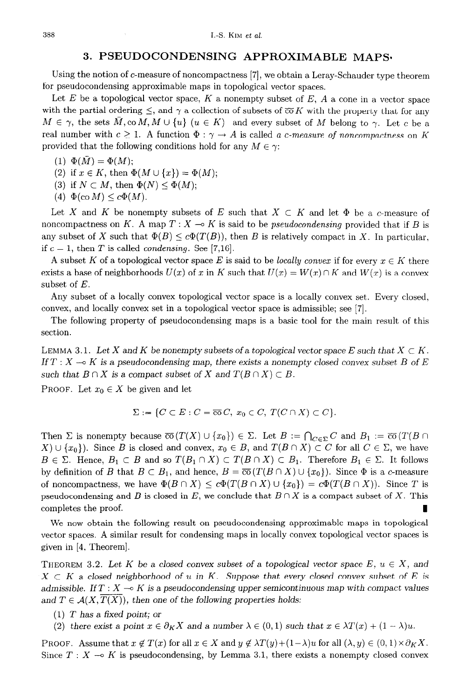### **3. PSEUDOCONDENSING APPROXIMABLE MAPS-**

Using the notion of c-measure of noncompactness [7], we obtain a Leray-Schauder type theorem for pseudocondensing approximable maps in topological vector spaces.

Let  $E$  be a topological vector space,  $K$  a nonempty subset of  $E$ ,  $A$  a cone in a vector space with the partial ordering  $\leq$ , and  $\gamma$  a collection of subsets of  $\overline{co} K$  with the property that for any  $M \in \gamma$ , the sets  $M, \text{co }M, M \cup \{u\}$   $(u \in K)$  and every subset of M belong to  $\gamma$ . Let c be a real number with  $c \geq 1$ . A function  $\Phi : \gamma \to A$  is called a *c*-measure of noncompactness on K provided that the following conditions hold for any  $M \in \gamma$ :

$$
(1) \ \Phi(M) = \Phi(M);
$$

- (2) if  $x \in K$ , then  $\Phi(M \cup \{x\}) = \Phi(M);$
- (3) if  $N \subset M$ , then  $\Phi(N) \leq \Phi(M)$ ;
- $(4) \Phi(\text{co }M) \leq c\Phi(M).$

Let X and K be nonempty subsets of E such that  $X \subset K$  and let  $\Phi$  be a c-measure of noncompactness on *K*. A map  $T : X \to K$  is said to be *pseudocondensing* provided that if *B* is any subset of X such that  $\Phi(B) \leq c\Phi(T(B))$ , then B is relatively compact in X. In particular, if  $c = 1$ , then *T* is called *condensing*. See [7,16].

A subset K of a topological vector space E is said to be *locally convex* if for every  $x \in K$  there exists a base of neighborhoods  $U(x)$  of x in K such that  $U(x) = W(x) \cap K$  and  $W(x)$  is a convex subset of *E.* 

Any subset of a locally convex topological vector space is a locally convex set. Every closed, convex, and locally convex set in a topological vector space is admissible; see [7].

The following property of pseudocondensing maps is a basic tool for the main result of this section.

LEMMA 3.1. Let X and K be nonempty subsets of a topological vector space E such that  $X \subset K$ . *If*  $T : X \rightarrow K$  *is a pseudocondensing map, there exists a nonempty closed convex subset B of E* such that  $B \cap X$  is a compact subset of X and  $T(B \cap X) \subset B$ .

**PROOF.** Let  $x_0 \in X$  be given and let

$$
\Sigma := \{ C \subset E : C = \overline{\text{co}} C, x_0 \in C, T(C \cap X) \subset C \}.
$$

Then  $\Sigma$  is nonempty because  $\overline{co}(T(X) \cup \{x_0\}) \in \Sigma$ . Let  $B := \bigcap_{C \in \Sigma} C$  and  $B_1 := \overline{co}(T(B \cap$  $X \cup \{x_0\}$ . Since *B* is closed and convex,  $x_0 \in B$ , and  $T(B \cap X) \subset C$  for all  $C \in \Sigma$ , we have  $B \in \Sigma$ . Hence,  $B_1 \subset B$  and so  $T(B_1 \cap X) \subset T(B \cap X) \subset B_1$ . Therefore  $B_1 \in \Sigma$ . It follows by definition of *B* that  $B \subset B_1$ , and hence,  $B = \overline{co}(T(B \cap X) \cup \{x_0\})$ . Since  $\Phi$  is a c-measure of noncompactness, we have  $\Phi(B \cap X) \leq c\Phi(T(B \cap X) \cup \{x_0\}) = c\Phi(T(B \cap X))$ . Since *T* is pseudocondensing and *B* is closed in  $E$ , we conclude that  $B \cap X$  is a compact subset of X. This completes the proof.

We now obtain the following result on pseudocondensing approximable maps in topological vector spaces. A similar result for condensing maps in locally convex topological vector spaces is given in [4, Theorem].

**THEOREM 3.2.** Let K be a closed convex subset of a topological vector space  $E, u \in X$ , and  $X \subset K$  a closed neighborhood of u in K. Suppose that every closed convex subset of E is admissible. If  $T : X \longrightarrow K$  is a pseudocondensing upper semicontinuous map with compact values and  $T \in \mathcal{A}(X, \overline{T(X)})$ , then one of the following properties holds:

- (1) *T has* a fixed point; *or*
- (2) there exist a point  $x \in \partial_K X$  and a number  $\lambda \in (0,1)$  such that  $x \in \lambda T(x) + (1 \lambda)u$ .

**PROOF.** Assume that  $x \notin T(x)$  for all  $x \in X$  and  $y \notin \lambda T(y)+(1-\lambda)u$  for all  $(\lambda, y) \in (0,1) \times \partial_K X$ . Since  $T : X \rightarrow K$  is pseudocondensing, by Lemma 3.1, there exists a nonempty closed convex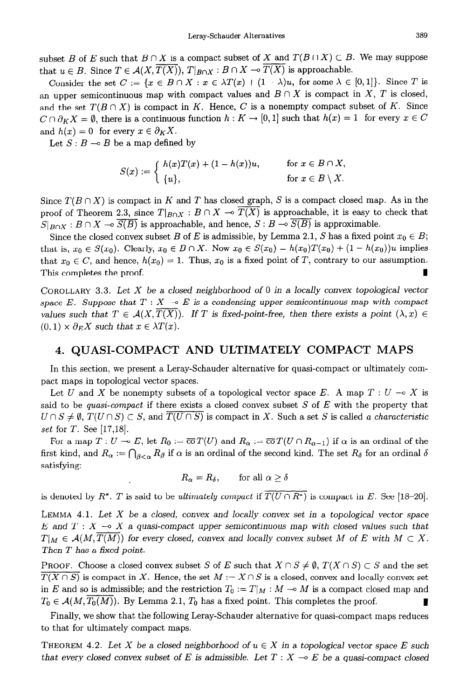subset *B* of *E* such that  $B \cap X$  is a compact subset of X and  $T(B \cap X) \subset B$ . We may suppose that  $u \in B$ . Since  $T \in \mathcal{A}(X, \overline{T(X)})$ ,  $T|_{B \cap X} : B \cap X \to \overline{T(X)}$  is approachable.

Consider the set  $C := \{x \in B \cap X : x \in \lambda T(x) + (1 - \lambda)u, \text{ for some } \lambda \in [0, 1]\}.$  Since T is an upper semicontinuous map with compact values and  $B \cap X$  is compact in X, T is closed, and the set  $T(B \cap X)$  is compact in K. Hence, C is a nonempty compact subset of K. Since  $C \cap \partial_K X = \emptyset$ , there is a continuous function  $h : K \to [0,1]$  such that  $h(x) = 1$  for every  $x \in C$ and  $h(x) = 0$  for every  $x \in \partial_K X$ .

Let  $S : B \to B$  be a map defined by

$$
S(x) := \begin{cases} h(x)T(x) + (1 - h(x))u, & \text{for } x \in B \cap X, \\ \{u\}, & \text{for } x \in B \setminus X. \end{cases}
$$

Since  $T(B \cap X)$  is compact in *K* and *T* has closed graph, *S* is a compact closed map. As in the proof of Theorem 2.3, since  $T|_{B\cap X}:B\cap X\to T(X)$  is approachable, it is easy to check that  $S|_{B\cap X}: B\cap X \multimap \overline{S(B)}$  is approachable, and hence,  $S: B \multimap \overline{S(B)}$  is approximable.

Since the closed convex subset *B* of *E* is admissible, by Lemma 2.1, *S* has a fixed point  $x_0 \in B$ ; that is,  $x_0 \in S(x_0)$ . Clearly,  $x_0 \in B \cap X$ . Now  $x_0 \in S(x_0) = h(x_0)T(x_0) + (1 - h(x_0))u$  implies that  $x_0 \in C$ , and hence,  $h(x_0) = 1$ . Thus,  $x_0$  is a fixed point of *T*, contrary to our assumption. This completes the proof.

**COROLLARY 3.3.** *Let X be* a *closed neighborhood of 0 in* a *locally convex topological vector*  space E. Suppose that  $T : X \to E$  is a condensing upper semicontinuous map with compact *values such that*  $T \in \mathcal{A}(X, T(X))$ . If T is fixed-point-free, then there exists a point  $(\lambda, x) \in$  $(0,1) \times \partial_E X$  such that  $x \in \lambda T(x)$ .

#### *4.* **QUASI-COMPACT AND ULTIMATELY COMPACT MAPS**

In this section, we present a Leray-Schauder alternative for quasi-compact or ultimately compact maps in topological vector spaces.

Let U and X be nonempty subsets of a topological vector space E. A map  $T: U \to X$  is said to be *quasi-compact* if there exists a closed convex subset S of *E* with the property that  $U \cap S \neq \emptyset$ ,  $T(U \cap S) \subset S$ , and  $\overline{T(U \cap S)}$  is compact in X. Such a set S is called a *characteristic set* for *T. See* [17,18].

For a map  $T: U \to E$ , let  $R_0 := \overline{co} T(U)$  and  $R_\alpha := \overline{co} T(U \cap R_{\alpha-1})$  if  $\alpha$  is an ordinal of the first kind, and  $R_{\alpha} := \bigcap_{\beta < \alpha} R_{\beta}$  if  $\alpha$  is an ordinal of the second kind. The set  $R_{\delta}$  for an ordinal  $\delta$ satisfying:

 $R_{\alpha} = R_{\delta}$ , for all  $\alpha \ge \delta$ 

is denoted by  $R^*$ . T is said to be *ultimately compact* if  $\overline{T(U \cap R^*)}$  is compact in *E*. See [18-20].

**LEMMA 4.1.** *Let X be* a closed, convex and locally *convex set in* a *topological vector space*   $E$  and  $T : X \rightarrow X$  a quasi-compact upper *semicontinuous map with closed values such that*  $T|_M \in \mathcal{A}(M, T(M))$  for every closed, convex and locally convex subset M of E with  $M \subset X$ . *Then T has a fixed point.* 

**PROOF.** Choose a closed convex subset S of E such that  $X \cap S \neq \emptyset$ ,  $T(X \cap S) \subset S$  and the set  $\overline{T(X \cap S)}$  is compact in X. Hence, the set  $M := X \cap S$  is a closed, convex and locally convex set in *E* and so is admissible; and the restriction  $T_0 := T|_M : M \to M$  is a compact closed map and  $T_0 \in \mathcal{A}(M, \overline{T_0(M)})$ . By Lemma 2.1,  $T_0$  has a fixed point. This completes the proof.

Finally, we show that the following Leray-Schauder alternative for quasi-compact maps reduces to that for ultimately compact maps.

**THEOREM 4.2.** Let X be a closed neighborhood of  $u \in X$  in a topological vector space E such *that every closed convex subset of E is admissible. Let*  $T : X \rightarrow E$  be a quasi-compact closed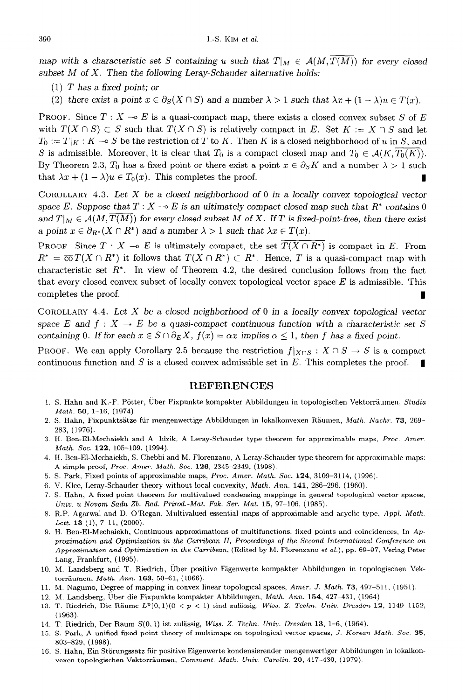map with a characteristic set S containing u such that  $T|_M \in \mathcal{A}(M, \overline{T(M)})$  for every closed subset M of X. Then *the* following Leray-Schauder alternative holds:

- (1) *T* has *a fixed* point; or
- (2) there exist a point  $x \in \partial_S(X \cap S)$  and a number  $\lambda > 1$  such that  $\lambda x + (1 \lambda)u \in T(x)$ .

PROOF. Since  $T : X \to E$  is a quasi-compact map, there exists a closed convex subset S of E with  $T(X \cap S) \subset S$  such that  $T(X \cap S)$  is relatively compact in E. Set  $K := X \cap S$  and let  $T_0 := T|_K : K \longrightarrow S$  be the restriction of *T* to *K*. Then *K* is a closed neighborhood of *u* in *S*, and S is admissible. Moreover, it is clear that  $T_0$  is a compact closed map and  $T_0 \in \mathcal{A}(K, T_0(K))$ . By Theorem 2.3,  $T_0$  has a fixed point or there exist a point  $x \in \partial_S K$  and a number  $\lambda > 1$  such that  $\lambda x + (1 - \lambda)u \in T_0(x)$ . This completes the proof.

COROLLARY 4.3. Let X be a closed neighborhood *of* 0 in a locally convex topological vector space *E*. Suppose that  $T : X \rightarrow E$  is an ultimately compact closed map such that  $R^*$  contains 0 and  $T|_M \in \mathcal{A}(M,T(M))$  for every closed subset M of X. If T is fixed-point-free, then there exist a point  $x \in \partial_{R^*}(X \cap R^*)$  and a number  $\lambda > 1$  such that  $\lambda x \in T(x)$ .

PROOF. Since  $T : X \to E$  is ultimately compact, the set  $\overline{T(X \cap R^*)}$  is compact in *E*. From  $R^* = \overline{co} T(X \cap R^*)$  it follows that  $T(X \cap R^*) \subset R^*$ . Hence, *T* is a quasi-compact map with characteristic set  $R^*$ . In view of Theorem 4.2, the desired conclusion follows from the fact that every closed convex subset of locally convex topological vector space *E* is admissible. This completes the proof.

COROLLARY 4.4. Let X be *a* closed neighborhood of 0 in a locally convex topological vector space E and  $f: X \to E$  be a quasi-compact continuous function with a characteristic set S containing 0. If for each  $x \in S \cap \partial_E X$ ,  $f(x) = \alpha x$  implies  $\alpha \leq 1$ , then f has a fixed point.

PROOF. We can apply Corollary 2.5 because the restriction  $f|_{X\cap S}: X \cap S \to S$  is a compact continuous function and  $S$  is a closed convex admissible set in  $E$ . This completes the proof.

#### **REFERENCES**

- 1. S. Hahn and K.-F. Pötter, Über Fixpunkte kompakter Abbildungen in topologischen Vektorräumen, Studia Math. 50, 1-16, (1974).
- 2. S. Hahn, Fixpunktsätze für mengenwertige Abbildungen in lokalkonvexen Räumen, Math. Nachr. 73, 269-283, (1976).
- 3. H. Ben-El-Mechaiekh and A. Idzik, A Leray-Schauder type theorem for approximable maps, Proc. *Amer. Math. Sot.* 122, 105-109, (1994).
- 4. H. Ben-El-Mechaiekh, S. Chebbi and M. Florenzano, A Leray-Schauder type theorem for approximable maps: A simple proof, *Proc. Amer. Math. Soc.* 126, 2345-2349, (1998).
- 5. S. Park, Fixed points of approximable maps, Proc. *Amer.* Math. Sot. 124, 3109-3114, (1996).
- 6. V. Klee, Leray-Schauder theory without local convexity, Math. *Ann.* 141, 286-296, (1960).
- 7. S. Hahn, A fixed-point theorem for multivalued condensing mappings in general topological vector spaces, Univ. u Novom Sadu *Zb.* Rad. Prirod.-Mat. Fak. Ser. Mat. 15, 97-106, (1985).
- 8. R.P. Agarwal and D. O'Regan, Multivalued essential maps of approximable and acyclic type, *Appl.* Math. Lett. **13** (1), 7-11, (2000).
- 9. H. Ben-El-Mechaiekh, Continuous approximations of multifunctions, fixed points and coincidences, In *Ap*proximation and Optimization in *the* Catibean II, Proceedings of *the* Second International Conference on Approximation and Optimization in the Carribean, (Edited by M. Florenzano et al.), pp. 69-97, Verlag Peter Lang, Frankfurt, (1995).
- 10. M. Landsberg and T. Riedrich, Gber positive Eigenwerte kompakter Abbildungen in topologischen Vektorr&umen, *Math.* Ann. 163, 50-61, (1966).
- 11. M. Nagumo, Degree of mapping in convex linear topological spaces, Amer. J. Math. 73, 497-511, (1951).
- 12. M. Landsberg, Über die Fixpunkte kompakter Abbildungen, Math. Ann. 154, 427-431, (1964).
- 13. T. Riedrich, Die Räume  $L^p(0,1)(0 < p < 1)$  sind zulässig, *Wiss. Z. Techn. Univ. Dresden* 12, 1149-1152, (1963).
- 14. T. Riedrich, Der Raum  $S(0, 1)$  ist zulässig, *Wiss. Z. Techn. Univ. Dresden* 13, 1-6, (1964).
- 15. S. Park, A unified fixed point theory of multimaps on topological vector spaces, *J. Korean* Math. Sot. 35, 803-829, (1998).
- 16. S. Hahn, Ein StGrungssatz fiir positive Eigenwerte kondensierender mengenwertiger Abbildungen in lokalkonvexen topologischen Vektorräumen, Comment. Math. Univ. Carolin. 20, 417-430, (1979).